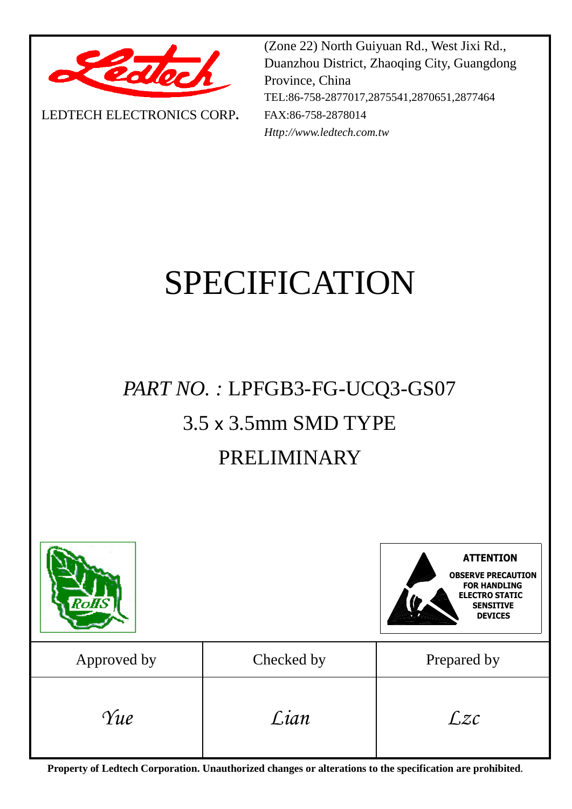

LEDTECH ELECTRONICS CORP**.**

(Zone 22) North Guiyuan Rd., West Jixi Rd., Duanzhou District, Zhaoqing City, Guangdong Province, China TEL:86-758-2877017,2875541,2870651,2877464 FAX:86-758-2878014 *Http://www.ledtech.com.tw*

# SPECIFICATION

## *PART NO. :* LPFGB3-FG-UCQ3-GS07 3.5 x 3.5mm SMD TYPE PRELIMINARY



**Property of Ledtech Corporation. Unauthorized changes or alterations to the specification are prohibited***.*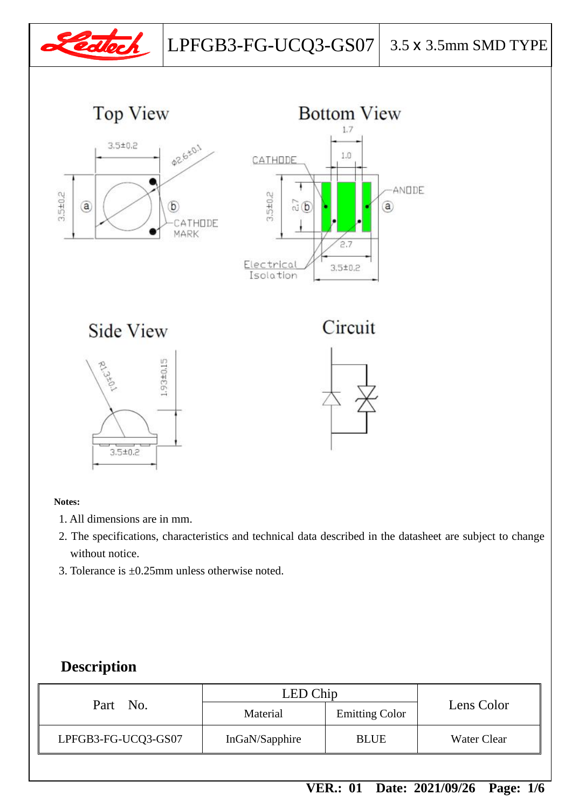

#### **Notes:**

- 1. All dimensions are in mm.
- 2. The specifications, characteristics and technical data described in the datasheet are subject to change without notice.
- 3. Tolerance is ±0.25mm unless otherwise noted.

#### **Description**

| Part No.            | LED Chip       |                       |                    |
|---------------------|----------------|-----------------------|--------------------|
|                     | Material       | <b>Emitting Color</b> | Lens Color         |
| LPFGB3-FG-UCQ3-GS07 | InGaN/Sapphire | <b>BLUE</b>           | <b>Water Clear</b> |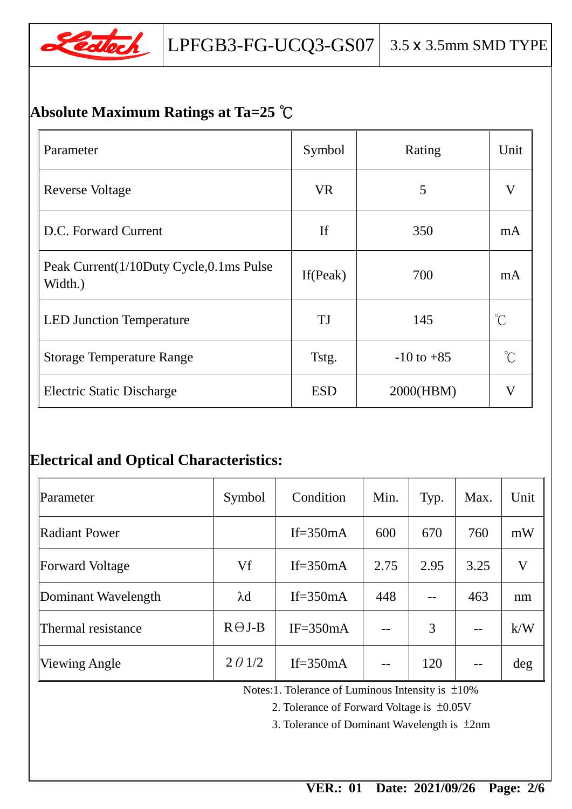

## **Absolute Maximum Ratings at Ta=25** ℃

| Parameter                                          | Symbol      | Rating         | Unit                |
|----------------------------------------------------|-------------|----------------|---------------------|
| <b>Reverse Voltage</b>                             | <b>VR</b>   | 5              | V                   |
| D.C. Forward Current                               | <b>If</b>   | 350            | mA                  |
| Peak Current(1/10Duty Cycle,0.1ms Pulse<br>Width.) | If $(Peak)$ | 700            | mA                  |
| <b>LED Junction Temperature</b>                    | TJ          | 145            | $\int_{0}^{\infty}$ |
| <b>Storage Temperature Range</b>                   | Tstg.       | $-10$ to $+85$ | $\int_{0}^{\infty}$ |
| <b>Electric Static Discharge</b>                   | <b>ESD</b>  | 2000(HBM)      | V                   |

## **Electrical and Optical Characteristics:**

| Parameter            | Symbol         | Condition    | Min. | Typ. | Max. | Unit                    |
|----------------------|----------------|--------------|------|------|------|-------------------------|
| Radiant Power        |                | If= $350mA$  | 600  | 670  | 760  | mW                      |
| Forward Voltage      | Vf             | If= $350mA$  | 2.75 | 2.95 | 3.25 | $\overline{\mathsf{V}}$ |
| Dominant Wavelength  | $\lambda$ d    | If= $350mA$  | 448  |      | 463  | nm                      |
| Thermal resistance   | $R \Theta J-B$ | $IF = 350mA$ | --   | 3    | $-$  | k/W                     |
| <b>Viewing Angle</b> | $2 \theta 1/2$ | If= $350mA$  | --   | 120  | $-$  | deg                     |

Notes:1. Tolerance of Luminous Intensity is ±10%

2. Tolerance of Forward Voltage is ±0.05V

3. Tolerance of Dominant Wavelength is ±2nm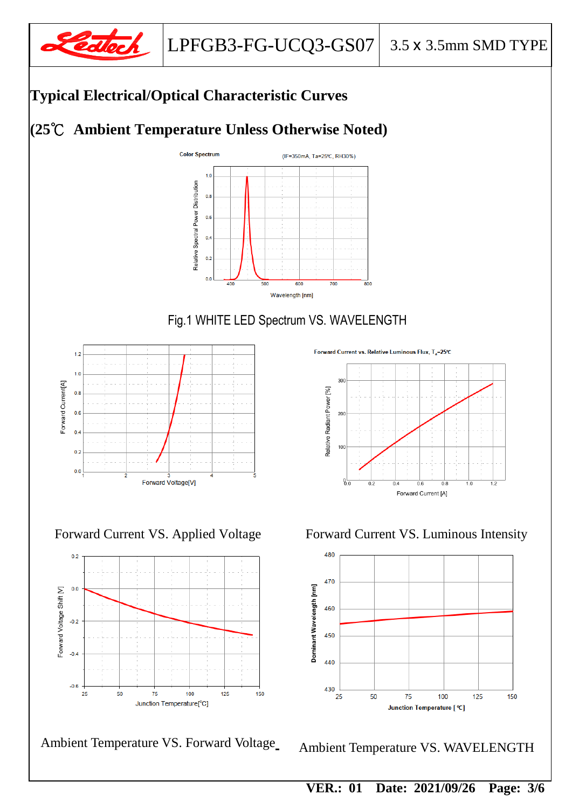

## **Typical Electrical/Optical Characteristic Curves**

## **(25**℃ **Ambient Temperature Unless Otherwise Noted)**



#### Fig.1 WHITE LED Spectrum VS. WAVELENGTH





Ambient Temperature VS. Forward Voltage

Forward Current vs. Relative Luminous Flux. T<sub>-</sub>25°C



Forward Current VS. Applied Voltage Forward Current VS. Luminous Intensity



Ambient Temperature VS. WAVELENGTH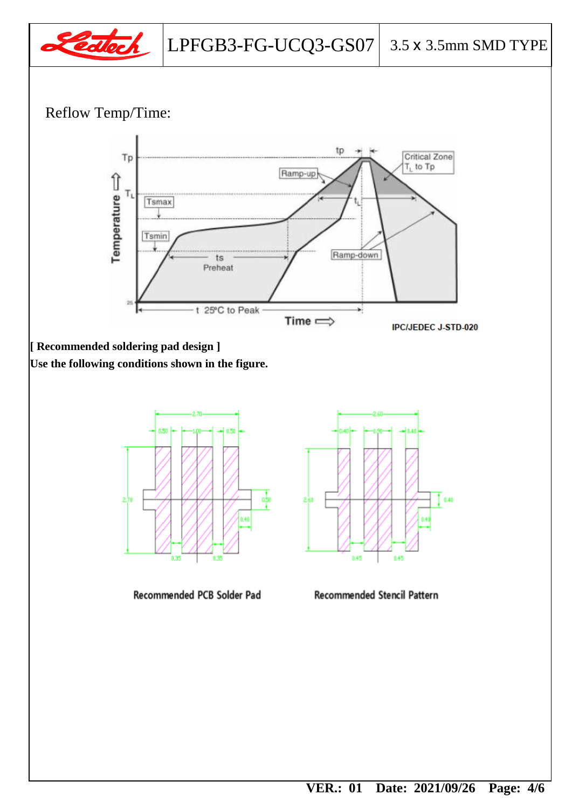

### Reflow Temp/Time:



**[ Recommended soldering pad design ]**

**Use the following conditions shown in the figure.**



Recommended PCB Solder Pad



**Recommended Stencil Pattern**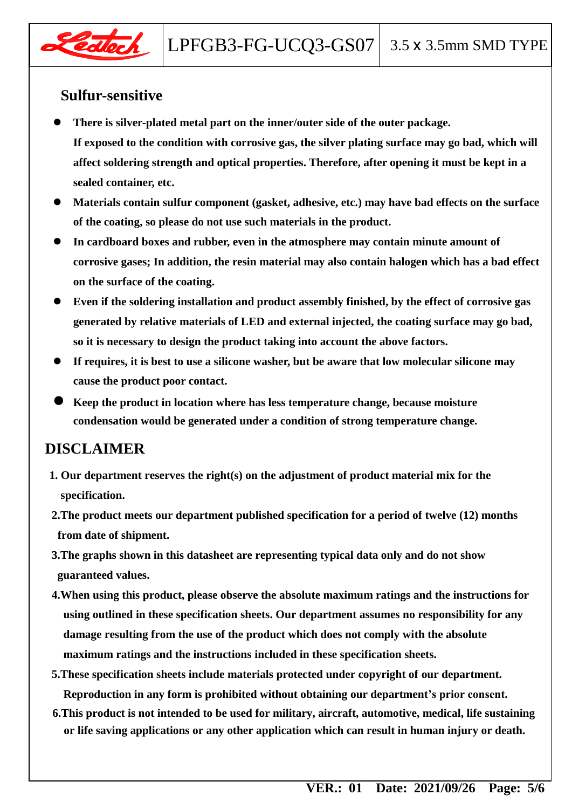

#### **Sulfur-sensitive**

- **There is silver-plated metal part on the inner/outer side of the outer package. If exposed to the condition with corrosive gas, the silver plating surface may go bad, which will affect soldering strength and optical properties. Therefore, after opening it must be kept in a sealed container, etc.**
- **Materials contain sulfur component (gasket, adhesive, etc.) may have bad effects on the surface of the coating, so please do not use such materials in the product.**
- **In cardboard boxes and rubber, even in the atmosphere may contain minute amount of corrosive gases; In addition, the resin material may also contain halogen which has a bad effect on the surface of the coating.**
- **Even if the soldering installation and product assembly finished, by the effect of corrosive gas generated by relative materials of LED and external injected, the coating surface may go bad, so it is necessary to design the product taking into account the above factors.**
- **If requires, it is best to use a silicone washer, but be aware that low molecular silicone may cause the product poor contact.**
- **Keep the product in location where has less temperature change, because moisture condensation would be generated under a condition of strong temperature change.**

#### **DISCLAIMER**

- **1. Our department reserves the right(s) on the adjustment of product material mix for the specification.**
- **2.The product meets our department published specification for a period of twelve (12) months from date of shipment.**
- **3.The graphs shown in this datasheet are representing typical data only and do not show guaranteed values.**
- **4.When using this product, please observe the absolute maximum ratings and the instructions for using outlined in these specification sheets. Our department assumes no responsibility for any damage resulting from the use of the product which does not comply with the absolute maximum ratings and the instructions included in these specification sheets.**
- **5.These specification sheets include materials protected under copyright of our department. Reproduction in any form is prohibited without obtaining our department's prior consent.**
- **6.This product is not intended to be used for military, aircraft, automotive, medical, life sustaining or life saving applications or any other application which can result in human injury or death.**